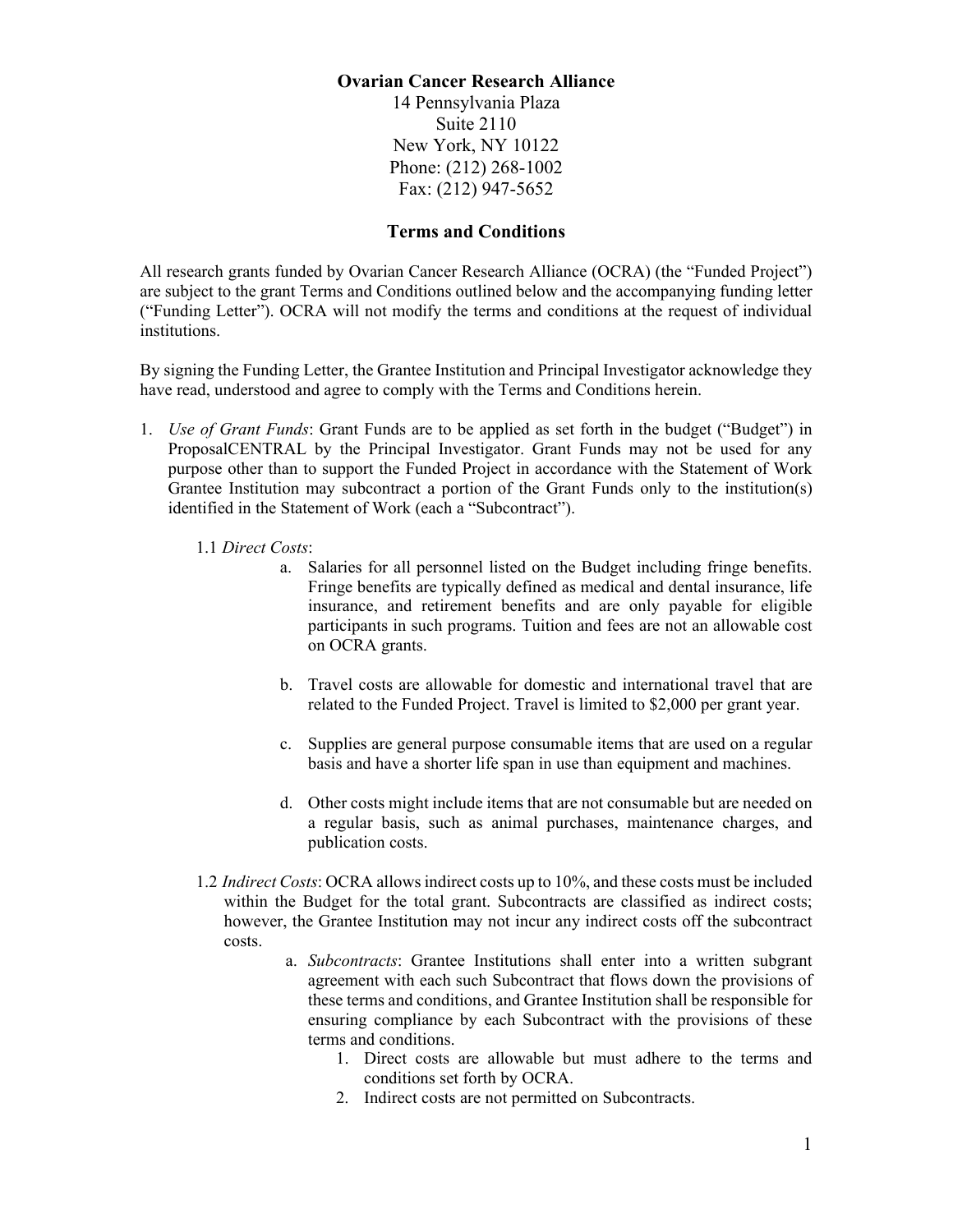## **Ovarian Cancer Research Alliance**

14 Pennsylvania Plaza Suite 2110 New York, NY 10122 Phone: (212) 268-1002 Fax: (212) 947-5652

# **Terms and Conditions**

All research grants funded by Ovarian Cancer Research Alliance (OCRA) (the "Funded Project") are subject to the grant Terms and Conditions outlined below and the accompanying funding letter ("Funding Letter"). OCRA will not modify the terms and conditions at the request of individual institutions.

By signing the Funding Letter, the Grantee Institution and Principal Investigator acknowledge they have read, understood and agree to comply with the Terms and Conditions herein.

- 1. *Use of Grant Funds*: Grant Funds are to be applied as set forth in the budget ("Budget") in ProposalCENTRAL by the Principal Investigator. Grant Funds may not be used for any purpose other than to support the Funded Project in accordance with the Statement of Work Grantee Institution may subcontract a portion of the Grant Funds only to the institution(s) identified in the Statement of Work (each a "Subcontract").
	- 1.1 *Direct Costs*:
		- a. Salaries for all personnel listed on the Budget including fringe benefits. Fringe benefits are typically defined as medical and dental insurance, life insurance, and retirement benefits and are only payable for eligible participants in such programs. Tuition and fees are not an allowable cost on OCRA grants.
		- b. Travel costs are allowable for domestic and international travel that are related to the Funded Project. Travel is limited to \$2,000 per grant year.
		- c. Supplies are general purpose consumable items that are used on a regular basis and have a shorter life span in use than equipment and machines.
		- d. Other costs might include items that are not consumable but are needed on a regular basis, such as animal purchases, maintenance charges, and publication costs.
	- 1.2 *Indirect Costs*: OCRA allows indirect costs up to 10%, and these costs must be included within the Budget for the total grant. Subcontracts are classified as indirect costs; however, the Grantee Institution may not incur any indirect costs off the subcontract costs.
		- a. *Subcontracts*: Grantee Institutions shall enter into a written subgrant agreement with each such Subcontract that flows down the provisions of these terms and conditions, and Grantee Institution shall be responsible for ensuring compliance by each Subcontract with the provisions of these terms and conditions.
			- 1. Direct costs are allowable but must adhere to the terms and conditions set forth by OCRA.
			- 2. Indirect costs are not permitted on Subcontracts.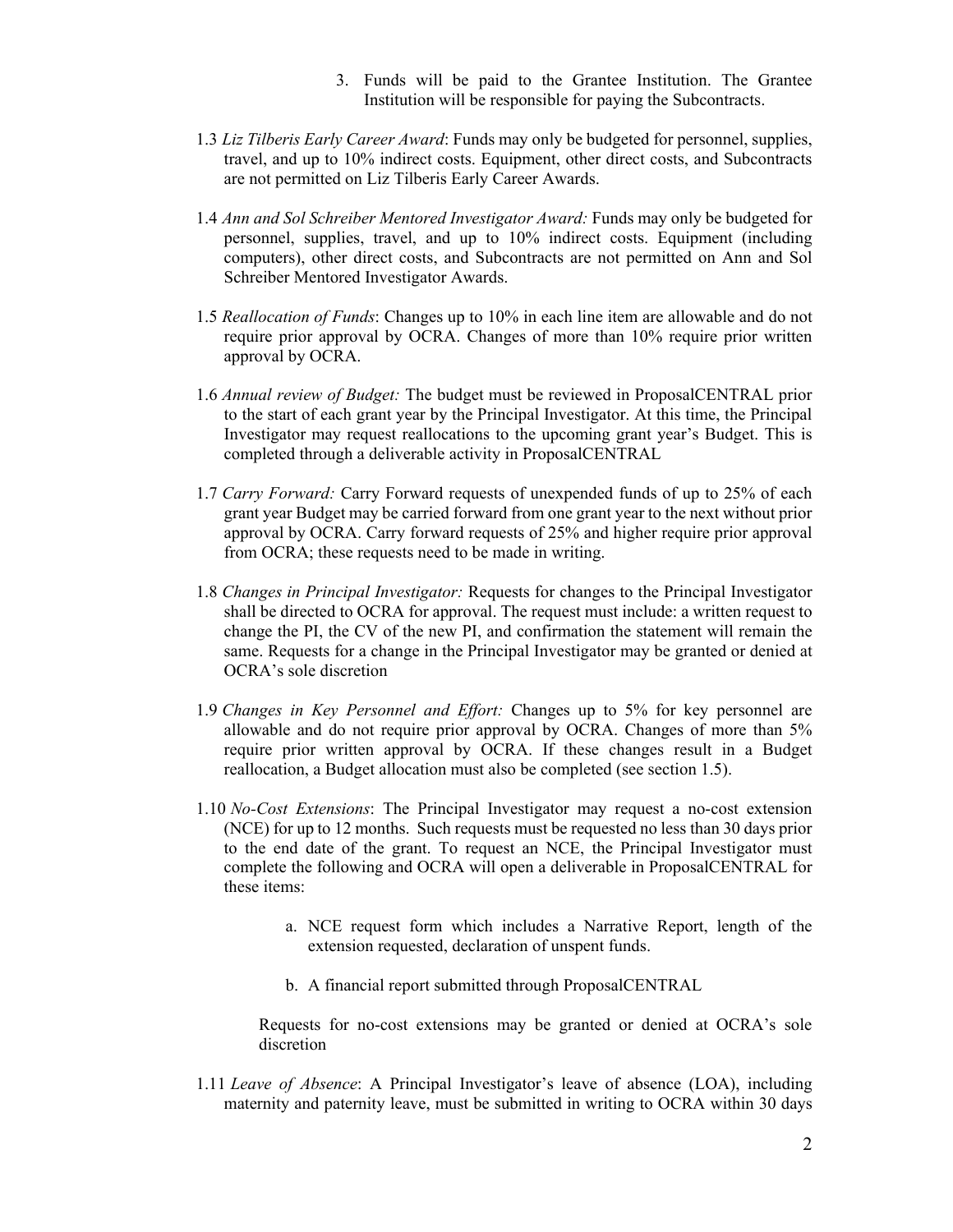- 3. Funds will be paid to the Grantee Institution. The Grantee Institution will be responsible for paying the Subcontracts.
- 1.3 *Liz Tilberis Early Career Award*: Funds may only be budgeted for personnel, supplies, travel, and up to 10% indirect costs. Equipment, other direct costs, and Subcontracts are not permitted on Liz Tilberis Early Career Awards.
- 1.4 *Ann and Sol Schreiber Mentored Investigator Award:* Funds may only be budgeted for personnel, supplies, travel, and up to 10% indirect costs. Equipment (including computers), other direct costs, and Subcontracts are not permitted on Ann and Sol Schreiber Mentored Investigator Awards.
- 1.5 *Reallocation of Funds*: Changes up to 10% in each line item are allowable and do not require prior approval by OCRA. Changes of more than 10% require prior written approval by OCRA.
- 1.6 *Annual review of Budget:* The budget must be reviewed in ProposalCENTRAL prior to the start of each grant year by the Principal Investigator. At this time, the Principal Investigator may request reallocations to the upcoming grant year's Budget. This is completed through a deliverable activity in ProposalCENTRAL
- 1.7 *Carry Forward:* Carry Forward requests of unexpended funds of up to 25% of each grant year Budget may be carried forward from one grant year to the next without prior approval by OCRA. Carry forward requests of 25% and higher require prior approval from OCRA; these requests need to be made in writing.
- 1.8 *Changes in Principal Investigator:* Requests for changes to the Principal Investigator shall be directed to OCRA for approval. The request must include: a written request to change the PI, the CV of the new PI, and confirmation the statement will remain the same. Requests for a change in the Principal Investigator may be granted or denied at OCRA's sole discretion
- 1.9 *Changes in Key Personnel and Effort:* Changes up to 5% for key personnel are allowable and do not require prior approval by OCRA. Changes of more than 5% require prior written approval by OCRA. If these changes result in a Budget reallocation, a Budget allocation must also be completed (see section 1.5).
- 1.10 *No-Cost Extensions*: The Principal Investigator may request a no-cost extension (NCE) for up to 12 months. Such requests must be requested no less than 30 days prior to the end date of the grant. To request an NCE, the Principal Investigator must complete the following and OCRA will open a deliverable in ProposalCENTRAL for these items:
	- a. NCE request form which includes a Narrative Report, length of the extension requested, declaration of unspent funds.
	- b. A financial report submitted through ProposalCENTRAL

Requests for no-cost extensions may be granted or denied at OCRA's sole discretion

1.11 *Leave of Absence*: A Principal Investigator's leave of absence (LOA), including maternity and paternity leave, must be submitted in writing to OCRA within 30 days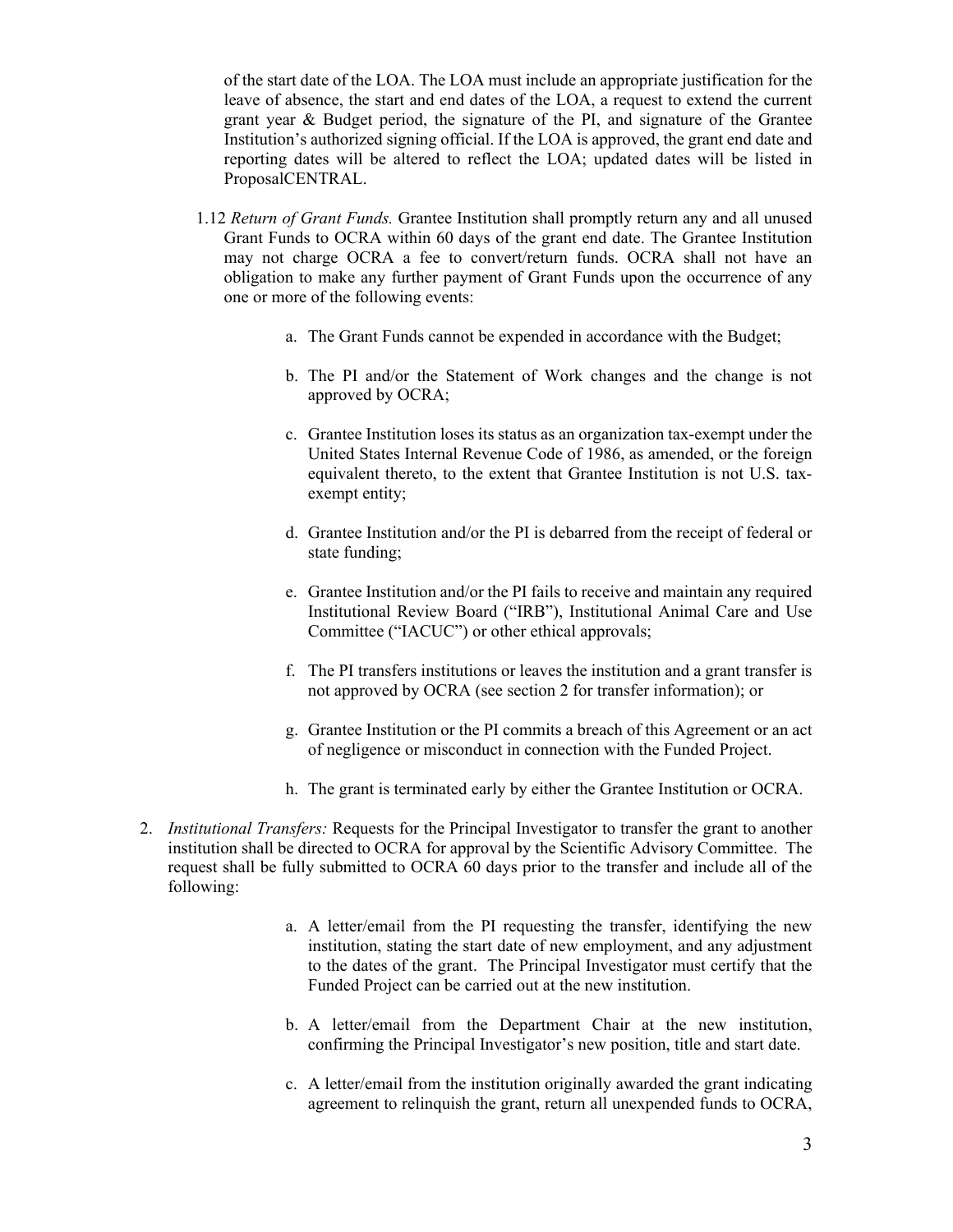of the start date of the LOA. The LOA must include an appropriate justification for the leave of absence, the start and end dates of the LOA, a request to extend the current grant year & Budget period, the signature of the PI, and signature of the Grantee Institution's authorized signing official. If the LOA is approved, the grant end date and reporting dates will be altered to reflect the LOA; updated dates will be listed in ProposalCENTRAL.

- 1.12 *Return of Grant Funds.* Grantee Institution shall promptly return any and all unused Grant Funds to OCRA within 60 days of the grant end date. The Grantee Institution may not charge OCRA a fee to convert/return funds. OCRA shall not have an obligation to make any further payment of Grant Funds upon the occurrence of any one or more of the following events:
	- a. The Grant Funds cannot be expended in accordance with the Budget;
	- b. The PI and/or the Statement of Work changes and the change is not approved by OCRA;
	- c. Grantee Institution loses its status as an organization tax-exempt under the United States Internal Revenue Code of 1986, as amended, or the foreign equivalent thereto, to the extent that Grantee Institution is not U.S. taxexempt entity;
	- d. Grantee Institution and/or the PI is debarred from the receipt of federal or state funding;
	- e. Grantee Institution and/or the PI fails to receive and maintain any required Institutional Review Board ("IRB"), Institutional Animal Care and Use Committee ("IACUC") or other ethical approvals;
	- f. The PI transfers institutions or leaves the institution and a grant transfer is not approved by OCRA (see section 2 for transfer information); or
	- g. Grantee Institution or the PI commits a breach of this Agreement or an act of negligence or misconduct in connection with the Funded Project.
	- h. The grant is terminated early by either the Grantee Institution or OCRA.
- 2. *Institutional Transfers:* Requests for the Principal Investigator to transfer the grant to another institution shall be directed to OCRA for approval by the Scientific Advisory Committee. The request shall be fully submitted to OCRA 60 days prior to the transfer and include all of the following:
	- a. A letter/email from the PI requesting the transfer, identifying the new institution, stating the start date of new employment, and any adjustment to the dates of the grant. The Principal Investigator must certify that the Funded Project can be carried out at the new institution.
	- b. A letter/email from the Department Chair at the new institution, confirming the Principal Investigator's new position, title and start date.
	- c. A letter/email from the institution originally awarded the grant indicating agreement to relinquish the grant, return all unexpended funds to OCRA,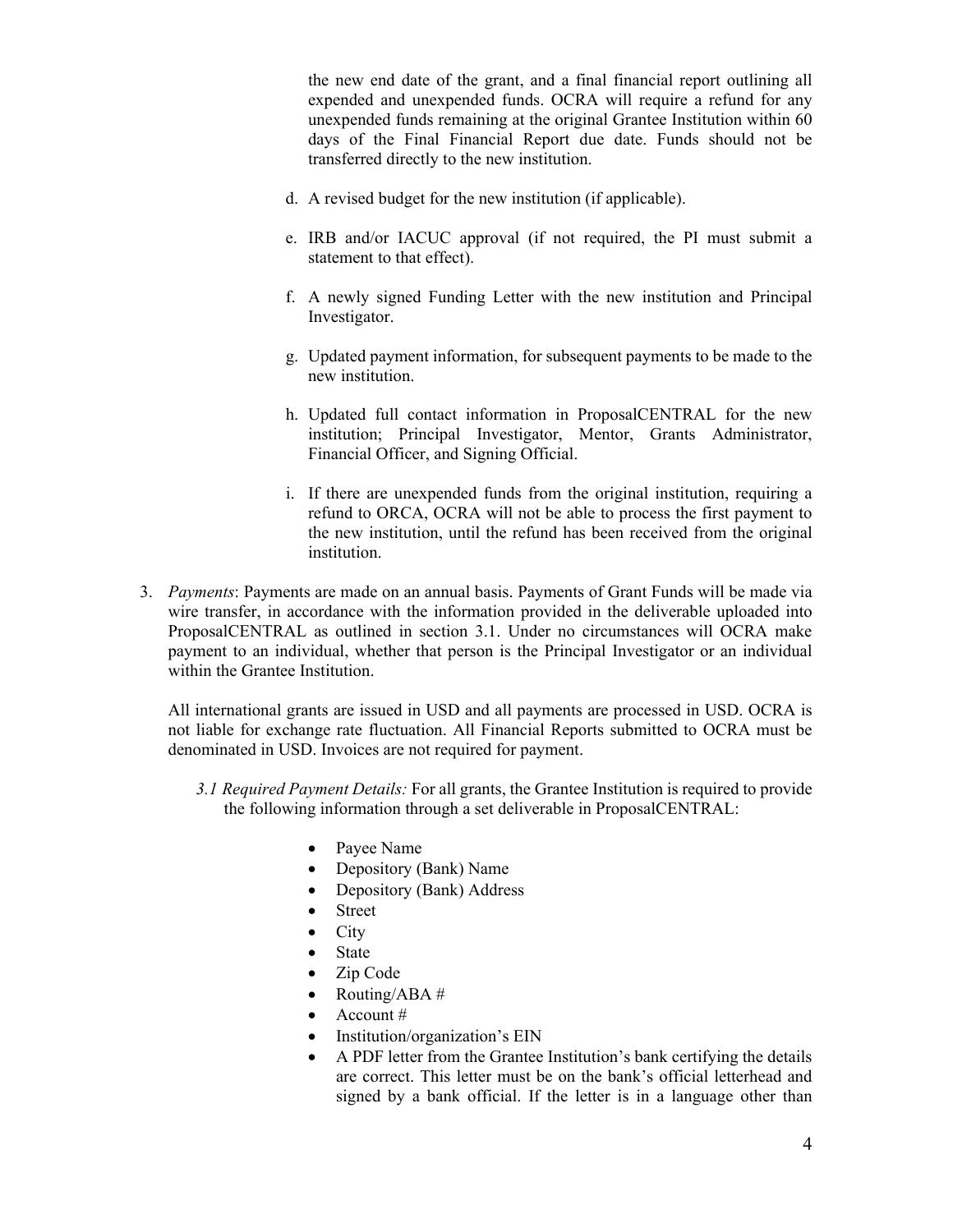the new end date of the grant, and a final financial report outlining all expended and unexpended funds. OCRA will require a refund for any unexpended funds remaining at the original Grantee Institution within 60 days of the Final Financial Report due date. Funds should not be transferred directly to the new institution.

- d. A revised budget for the new institution (if applicable).
- e. IRB and/or IACUC approval (if not required, the PI must submit a statement to that effect).
- f. A newly signed Funding Letter with the new institution and Principal Investigator.
- g. Updated payment information, for subsequent payments to be made to the new institution.
- h. Updated full contact information in ProposalCENTRAL for the new institution; Principal Investigator, Mentor, Grants Administrator, Financial Officer, and Signing Official.
- i. If there are unexpended funds from the original institution, requiring a refund to ORCA, OCRA will not be able to process the first payment to the new institution, until the refund has been received from the original institution.
- 3. *Payments*: Payments are made on an annual basis. Payments of Grant Funds will be made via wire transfer, in accordance with the information provided in the deliverable uploaded into ProposalCENTRAL as outlined in section 3.1. Under no circumstances will OCRA make payment to an individual, whether that person is the Principal Investigator or an individual within the Grantee Institution.

All international grants are issued in USD and all payments are processed in USD. OCRA is not liable for exchange rate fluctuation. All Financial Reports submitted to OCRA must be denominated in USD. Invoices are not required for payment.

- *3.1 Required Payment Details:* For all grants, the Grantee Institution is required to provide the following information through a set deliverable in ProposalCENTRAL:
	- Payee Name
	- Depository (Bank) Name
	- Depository (Bank) Address
	- **Street**
	- City
	- **State**
	- Zip Code
	- Routing/ABA #
	- Account #
	- Institution/organization's EIN
	- A PDF letter from the Grantee Institution's bank certifying the details are correct. This letter must be on the bank's official letterhead and signed by a bank official. If the letter is in a language other than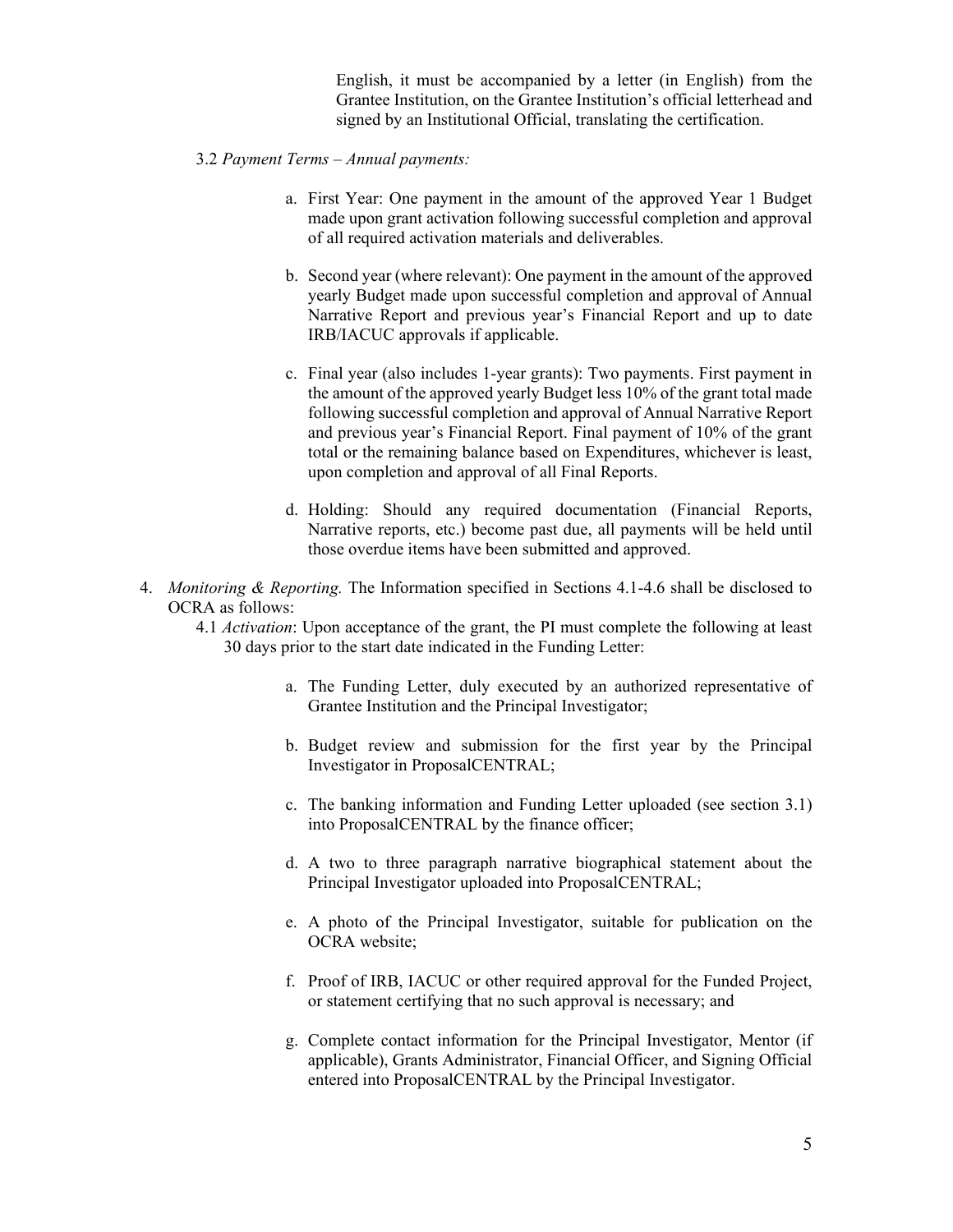English, it must be accompanied by a letter (in English) from the Grantee Institution, on the Grantee Institution's official letterhead and signed by an Institutional Official, translating the certification.

- 3.2 *Payment Terms – Annual payments:*
	- a. First Year: One payment in the amount of the approved Year 1 Budget made upon grant activation following successful completion and approval of all required activation materials and deliverables.
	- b. Second year (where relevant): One payment in the amount of the approved yearly Budget made upon successful completion and approval of Annual Narrative Report and previous year's Financial Report and up to date IRB/IACUC approvals if applicable.
	- c. Final year (also includes 1-year grants): Two payments. First payment in the amount of the approved yearly Budget less 10% of the grant total made following successful completion and approval of Annual Narrative Report and previous year's Financial Report. Final payment of 10% of the grant total or the remaining balance based on Expenditures, whichever is least, upon completion and approval of all Final Reports.
	- d. Holding: Should any required documentation (Financial Reports, Narrative reports, etc.) become past due, all payments will be held until those overdue items have been submitted and approved.
- 4. *Monitoring & Reporting.* The Information specified in Sections 4.1-4.6 shall be disclosed to OCRA as follows:
	- 4.1 *Activation*: Upon acceptance of the grant, the PI must complete the following at least 30 days prior to the start date indicated in the Funding Letter:
		- a. The Funding Letter, duly executed by an authorized representative of Grantee Institution and the Principal Investigator;
		- b. Budget review and submission for the first year by the Principal Investigator in ProposalCENTRAL;
		- c. The banking information and Funding Letter uploaded (see section 3.1) into ProposalCENTRAL by the finance officer;
		- d. A two to three paragraph narrative biographical statement about the Principal Investigator uploaded into ProposalCENTRAL;
		- e. A photo of the Principal Investigator, suitable for publication on the OCRA website;
		- f. Proof of IRB, IACUC or other required approval for the Funded Project, or statement certifying that no such approval is necessary; and
		- g. Complete contact information for the Principal Investigator, Mentor (if applicable), Grants Administrator, Financial Officer, and Signing Official entered into ProposalCENTRAL by the Principal Investigator.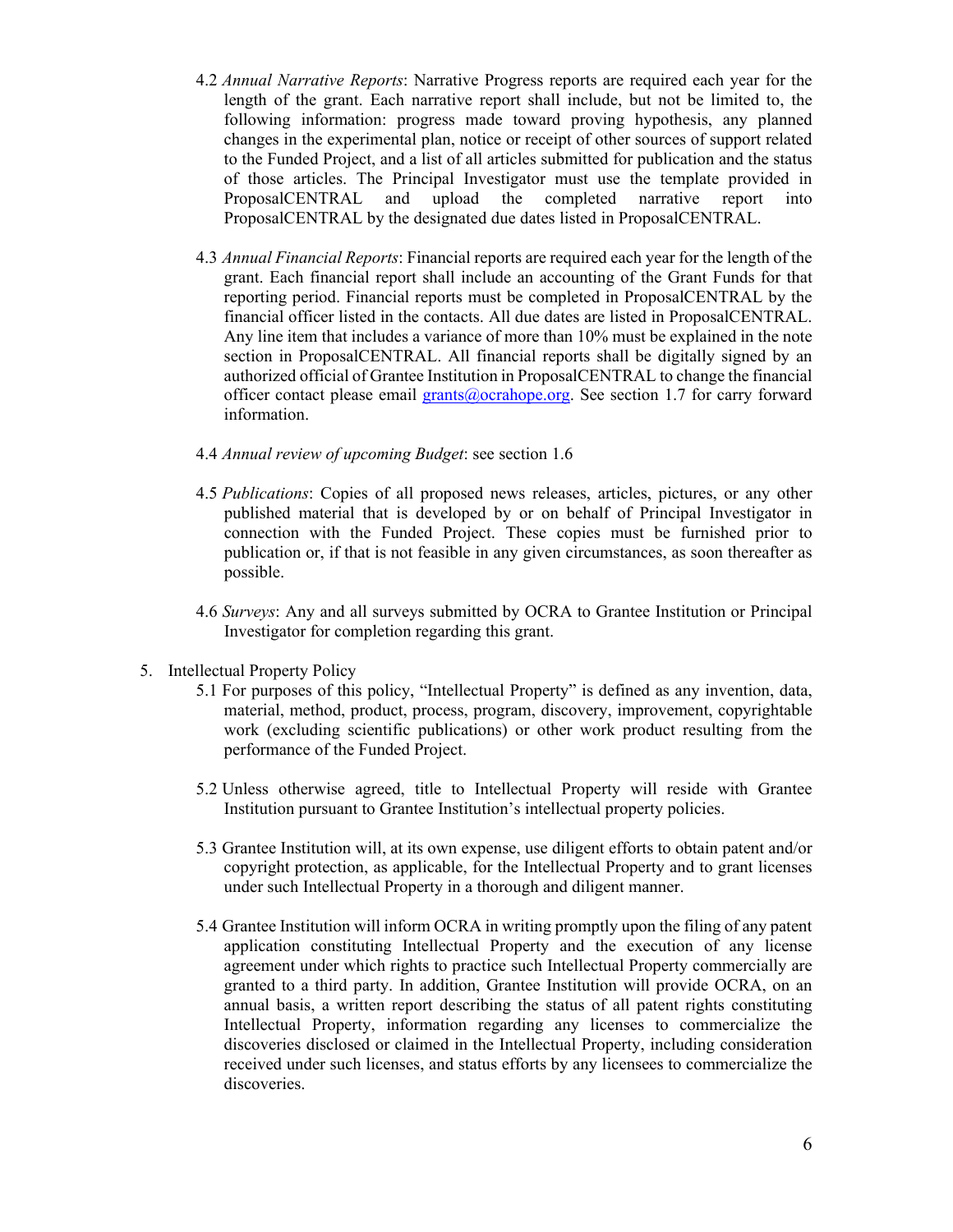- 4.2 *Annual Narrative Reports*: Narrative Progress reports are required each year for the length of the grant. Each narrative report shall include, but not be limited to, the following information: progress made toward proving hypothesis, any planned changes in the experimental plan, notice or receipt of other sources of support related to the Funded Project, and a list of all articles submitted for publication and the status of those articles. The Principal Investigator must use the template provided in ProposalCENTRAL and upload the completed narrative report into ProposalCENTRAL by the designated due dates listed in ProposalCENTRAL.
- 4.3 *Annual Financial Reports*: Financial reports are required each year for the length of the grant. Each financial report shall include an accounting of the Grant Funds for that reporting period. Financial reports must be completed in ProposalCENTRAL by the financial officer listed in the contacts. All due dates are listed in ProposalCENTRAL. Any line item that includes a variance of more than 10% must be explained in the note section in ProposalCENTRAL. All financial reports shall be digitally signed by an authorized official of Grantee Institution in ProposalCENTRAL to change the financial officer contact please email [grants@ocrahope.org.](mailto:grants@ocrahope.org) See section 1.7 for carry forward information.
- 4.4 *Annual review of upcoming Budget*: see section 1.6
- 4.5 *Publications*: Copies of all proposed news releases, articles, pictures, or any other published material that is developed by or on behalf of Principal Investigator in connection with the Funded Project. These copies must be furnished prior to publication or, if that is not feasible in any given circumstances, as soon thereafter as possible.
- 4.6 *Surveys*: Any and all surveys submitted by OCRA to Grantee Institution or Principal Investigator for completion regarding this grant.
- 5. Intellectual Property Policy
	- 5.1 For purposes of this policy, "Intellectual Property" is defined as any invention, data, material, method, product, process, program, discovery, improvement, copyrightable work (excluding scientific publications) or other work product resulting from the performance of the Funded Project.
	- 5.2 Unless otherwise agreed, title to Intellectual Property will reside with Grantee Institution pursuant to Grantee Institution's intellectual property policies.
	- 5.3 Grantee Institution will, at its own expense, use diligent efforts to obtain patent and/or copyright protection, as applicable, for the Intellectual Property and to grant licenses under such Intellectual Property in a thorough and diligent manner.
	- 5.4 Grantee Institution will inform OCRA in writing promptly upon the filing of any patent application constituting Intellectual Property and the execution of any license agreement under which rights to practice such Intellectual Property commercially are granted to a third party. In addition, Grantee Institution will provide OCRA, on an annual basis, a written report describing the status of all patent rights constituting Intellectual Property, information regarding any licenses to commercialize the discoveries disclosed or claimed in the Intellectual Property, including consideration received under such licenses, and status efforts by any licensees to commercialize the discoveries.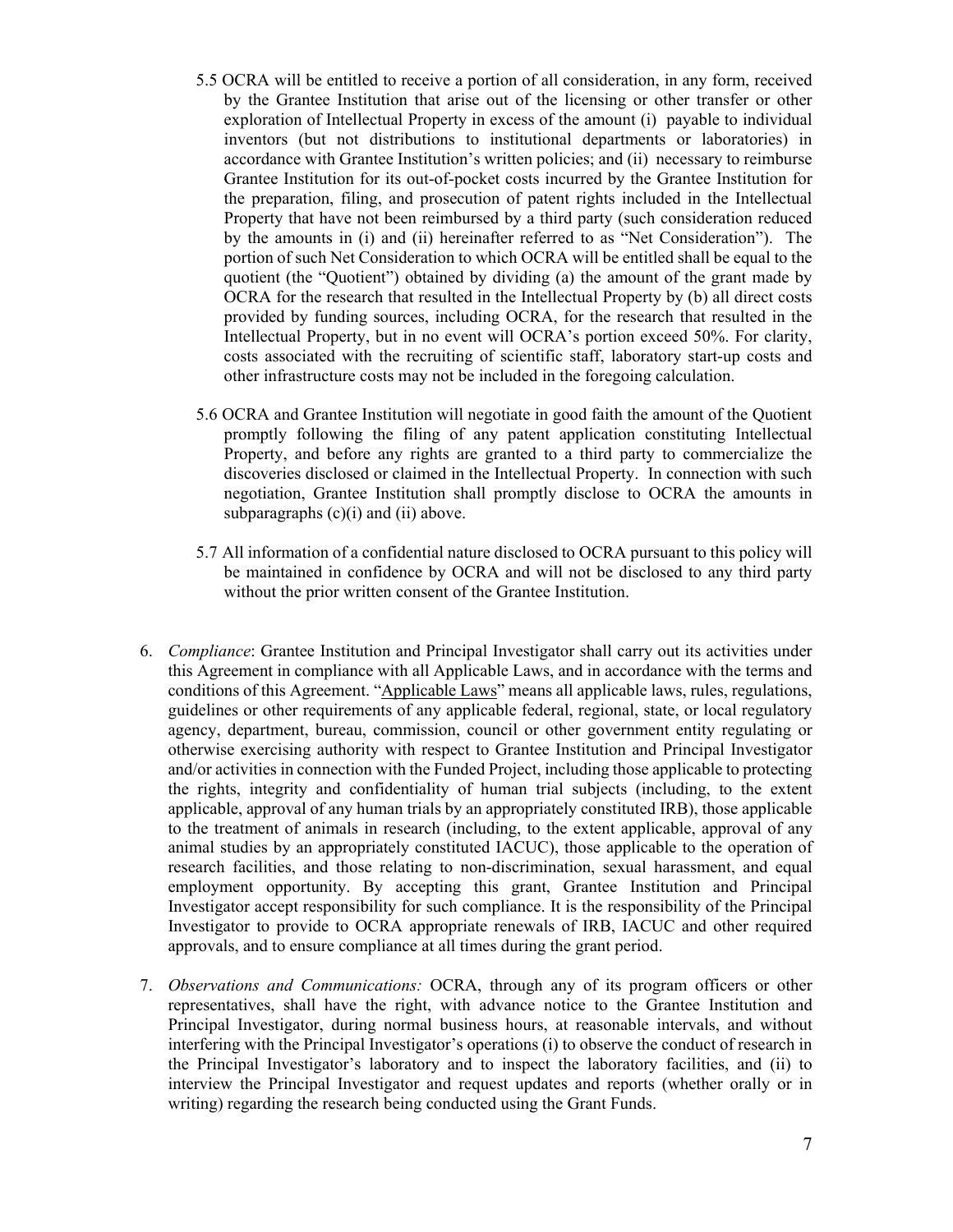- 5.5 OCRA will be entitled to receive a portion of all consideration, in any form, received by the Grantee Institution that arise out of the licensing or other transfer or other exploration of Intellectual Property in excess of the amount (i) payable to individual inventors (but not distributions to institutional departments or laboratories) in accordance with Grantee Institution's written policies; and (ii) necessary to reimburse Grantee Institution for its out-of-pocket costs incurred by the Grantee Institution for the preparation, filing, and prosecution of patent rights included in the Intellectual Property that have not been reimbursed by a third party (such consideration reduced by the amounts in (i) and (ii) hereinafter referred to as "Net Consideration"). The portion of such Net Consideration to which OCRA will be entitled shall be equal to the quotient (the "Quotient") obtained by dividing (a) the amount of the grant made by OCRA for the research that resulted in the Intellectual Property by (b) all direct costs provided by funding sources, including OCRA, for the research that resulted in the Intellectual Property, but in no event will OCRA's portion exceed 50%. For clarity, costs associated with the recruiting of scientific staff, laboratory start-up costs and other infrastructure costs may not be included in the foregoing calculation.
- 5.6 OCRA and Grantee Institution will negotiate in good faith the amount of the Quotient promptly following the filing of any patent application constituting Intellectual Property, and before any rights are granted to a third party to commercialize the discoveries disclosed or claimed in the Intellectual Property. In connection with such negotiation, Grantee Institution shall promptly disclose to OCRA the amounts in subparagraphs  $(c)(i)$  and  $(ii)$  above.
- 5.7 All information of a confidential nature disclosed to OCRA pursuant to this policy will be maintained in confidence by OCRA and will not be disclosed to any third party without the prior written consent of the Grantee Institution.
- 6. *Compliance*: Grantee Institution and Principal Investigator shall carry out its activities under this Agreement in compliance with all Applicable Laws, and in accordance with the terms and conditions of this Agreement. "Applicable Laws" means all applicable laws, rules, regulations, guidelines or other requirements of any applicable federal, regional, state, or local regulatory agency, department, bureau, commission, council or other government entity regulating or otherwise exercising authority with respect to Grantee Institution and Principal Investigator and/or activities in connection with the Funded Project, including those applicable to protecting the rights, integrity and confidentiality of human trial subjects (including, to the extent applicable, approval of any human trials by an appropriately constituted IRB), those applicable to the treatment of animals in research (including, to the extent applicable, approval of any animal studies by an appropriately constituted IACUC), those applicable to the operation of research facilities, and those relating to non-discrimination, sexual harassment, and equal employment opportunity. By accepting this grant, Grantee Institution and Principal Investigator accept responsibility for such compliance. It is the responsibility of the Principal Investigator to provide to OCRA appropriate renewals of IRB, IACUC and other required approvals, and to ensure compliance at all times during the grant period.
- 7. *Observations and Communications:* OCRA, through any of its program officers or other representatives, shall have the right, with advance notice to the Grantee Institution and Principal Investigator, during normal business hours, at reasonable intervals, and without interfering with the Principal Investigator's operations (i) to observe the conduct of research in the Principal Investigator's laboratory and to inspect the laboratory facilities, and (ii) to interview the Principal Investigator and request updates and reports (whether orally or in writing) regarding the research being conducted using the Grant Funds.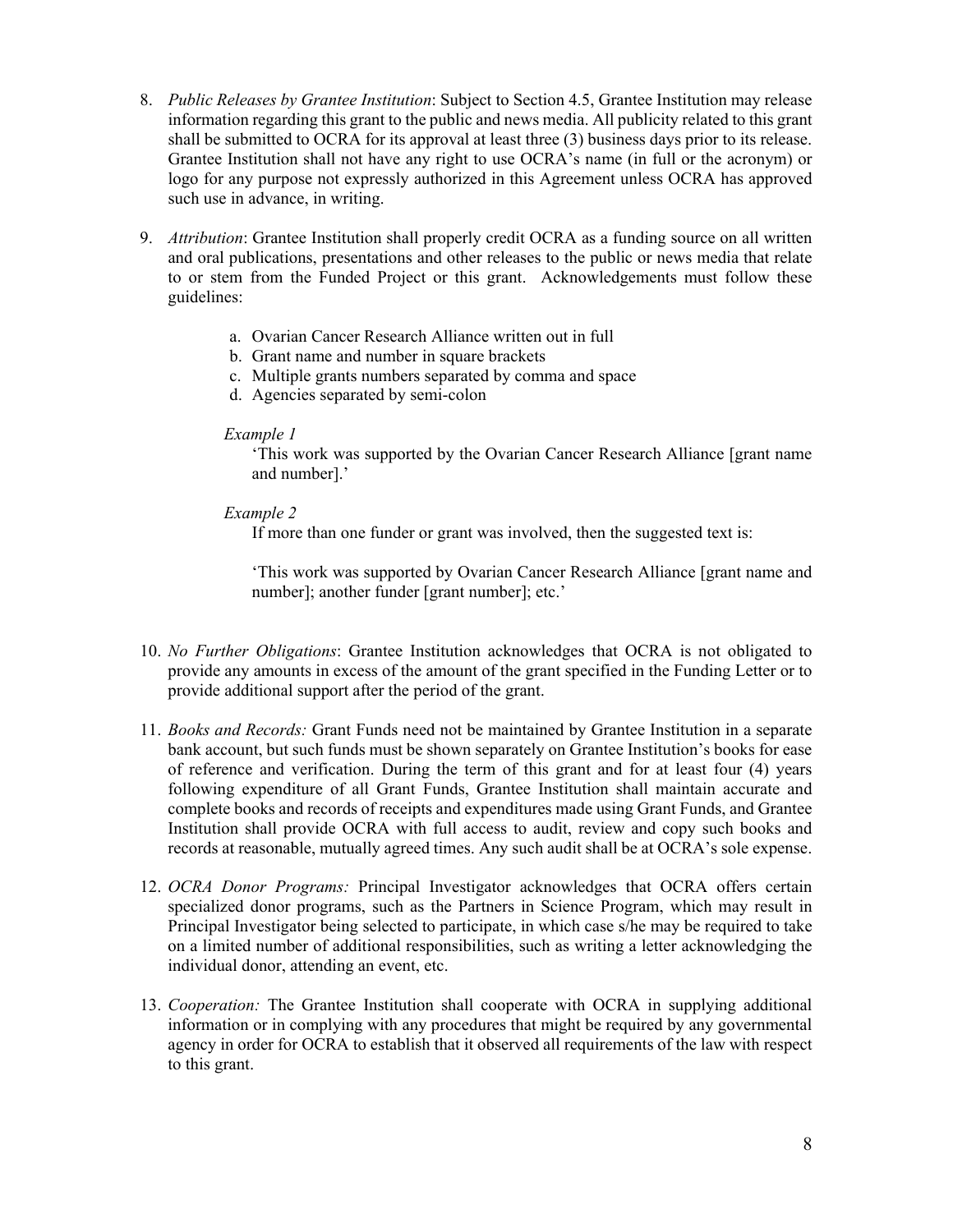- 8. *Public Releases by Grantee Institution*: Subject to Section 4.5, Grantee Institution may release information regarding this grant to the public and news media. All publicity related to this grant shall be submitted to OCRA for its approval at least three (3) business days prior to its release. Grantee Institution shall not have any right to use OCRA's name (in full or the acronym) or logo for any purpose not expressly authorized in this Agreement unless OCRA has approved such use in advance, in writing.
- 9. *Attribution*: Grantee Institution shall properly credit OCRA as a funding source on all written and oral publications, presentations and other releases to the public or news media that relate to or stem from the Funded Project or this grant. Acknowledgements must follow these guidelines:
	- a. Ovarian Cancer Research Alliance written out in full
	- b. Grant name and number in square brackets
	- c. Multiple grants numbers separated by comma and space
	- d. Agencies separated by semi-colon

#### *Example 1*

'This work was supported by the Ovarian Cancer Research Alliance [grant name and number].'

## *Example 2*

If more than one funder or grant was involved, then the suggested text is:

'This work was supported by Ovarian Cancer Research Alliance [grant name and number]; another funder [grant number]; etc.'

- 10. *No Further Obligations*: Grantee Institution acknowledges that OCRA is not obligated to provide any amounts in excess of the amount of the grant specified in the Funding Letter or to provide additional support after the period of the grant.
- 11. *Books and Records:* Grant Funds need not be maintained by Grantee Institution in a separate bank account, but such funds must be shown separately on Grantee Institution's books for ease of reference and verification. During the term of this grant and for at least four (4) years following expenditure of all Grant Funds, Grantee Institution shall maintain accurate and complete books and records of receipts and expenditures made using Grant Funds, and Grantee Institution shall provide OCRA with full access to audit, review and copy such books and records at reasonable, mutually agreed times. Any such audit shall be at OCRA's sole expense.
- 12. *OCRA Donor Programs:* Principal Investigator acknowledges that OCRA offers certain specialized donor programs, such as the Partners in Science Program, which may result in Principal Investigator being selected to participate, in which case s/he may be required to take on a limited number of additional responsibilities, such as writing a letter acknowledging the individual donor, attending an event, etc.
- 13. *Cooperation:* The Grantee Institution shall cooperate with OCRA in supplying additional information or in complying with any procedures that might be required by any governmental agency in order for OCRA to establish that it observed all requirements of the law with respect to this grant.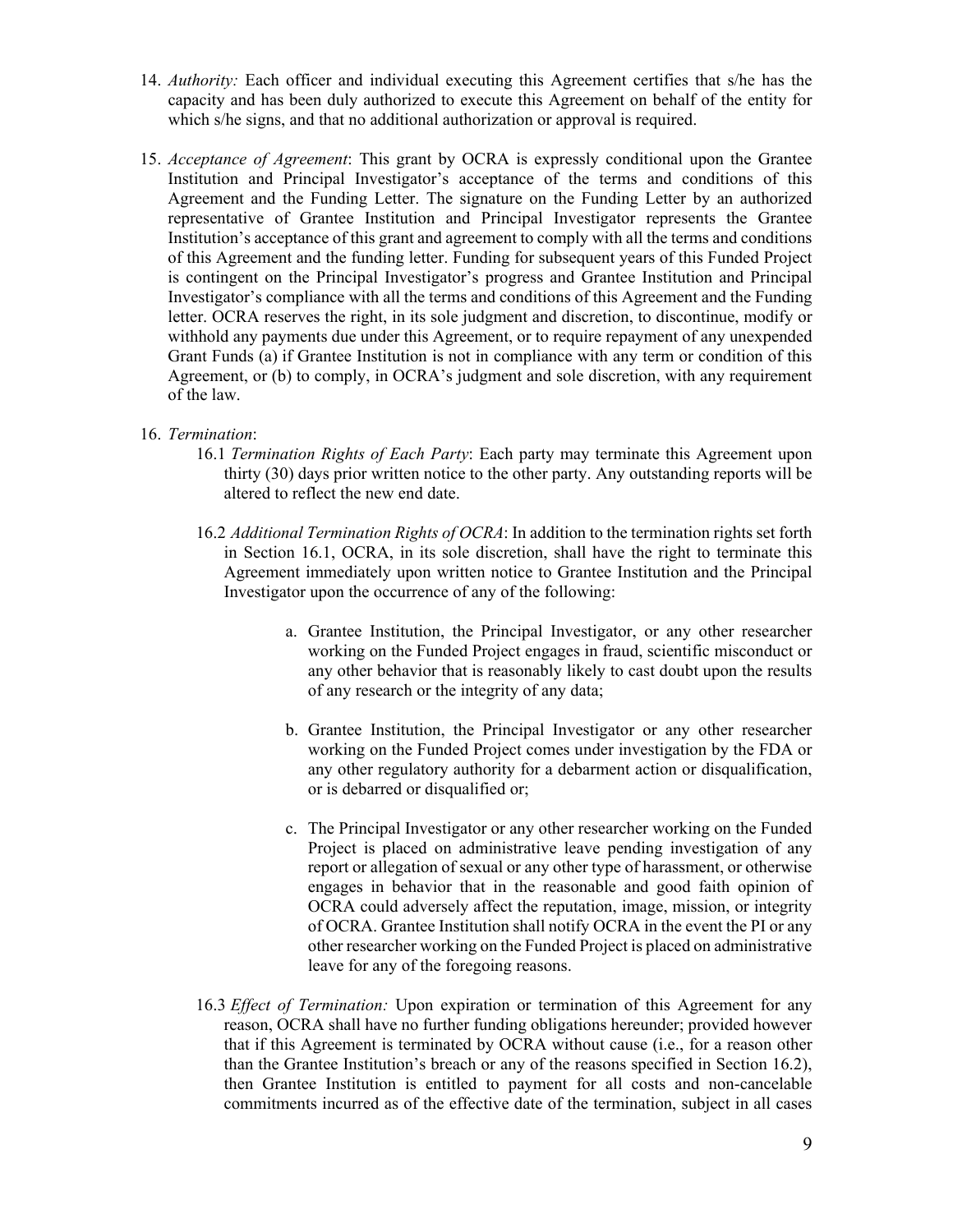- 14. *Authority:* Each officer and individual executing this Agreement certifies that s/he has the capacity and has been duly authorized to execute this Agreement on behalf of the entity for which s/he signs, and that no additional authorization or approval is required.
- 15. *Acceptance of Agreement*: This grant by OCRA is expressly conditional upon the Grantee Institution and Principal Investigator's acceptance of the terms and conditions of this Agreement and the Funding Letter. The signature on the Funding Letter by an authorized representative of Grantee Institution and Principal Investigator represents the Grantee Institution's acceptance of this grant and agreement to comply with all the terms and conditions of this Agreement and the funding letter. Funding for subsequent years of this Funded Project is contingent on the Principal Investigator's progress and Grantee Institution and Principal Investigator's compliance with all the terms and conditions of this Agreement and the Funding letter. OCRA reserves the right, in its sole judgment and discretion, to discontinue, modify or withhold any payments due under this Agreement, or to require repayment of any unexpended Grant Funds (a) if Grantee Institution is not in compliance with any term or condition of this Agreement, or (b) to comply, in OCRA's judgment and sole discretion, with any requirement of the law.

## 16. *Termination*:

- 16.1 *Termination Rights of Each Party*: Each party may terminate this Agreement upon thirty (30) days prior written notice to the other party. Any outstanding reports will be altered to reflect the new end date.
- 16.2 *Additional Termination Rights of OCRA*: In addition to the termination rights set forth in Section 16.1, OCRA, in its sole discretion, shall have the right to terminate this Agreement immediately upon written notice to Grantee Institution and the Principal Investigator upon the occurrence of any of the following:
	- a. Grantee Institution, the Principal Investigator, or any other researcher working on the Funded Project engages in fraud, scientific misconduct or any other behavior that is reasonably likely to cast doubt upon the results of any research or the integrity of any data;
	- b. Grantee Institution, the Principal Investigator or any other researcher working on the Funded Project comes under investigation by the FDA or any other regulatory authority for a debarment action or disqualification, or is debarred or disqualified or;
	- c. The Principal Investigator or any other researcher working on the Funded Project is placed on administrative leave pending investigation of any report or allegation of sexual or any other type of harassment, or otherwise engages in behavior that in the reasonable and good faith opinion of OCRA could adversely affect the reputation, image, mission, or integrity of OCRA. Grantee Institution shall notify OCRA in the event the PI or any other researcher working on the Funded Project is placed on administrative leave for any of the foregoing reasons.
- 16.3 *Effect of Termination:* Upon expiration or termination of this Agreement for any reason, OCRA shall have no further funding obligations hereunder; provided however that if this Agreement is terminated by OCRA without cause (i.e., for a reason other than the Grantee Institution's breach or any of the reasons specified in Section 16.2), then Grantee Institution is entitled to payment for all costs and non-cancelable commitments incurred as of the effective date of the termination, subject in all cases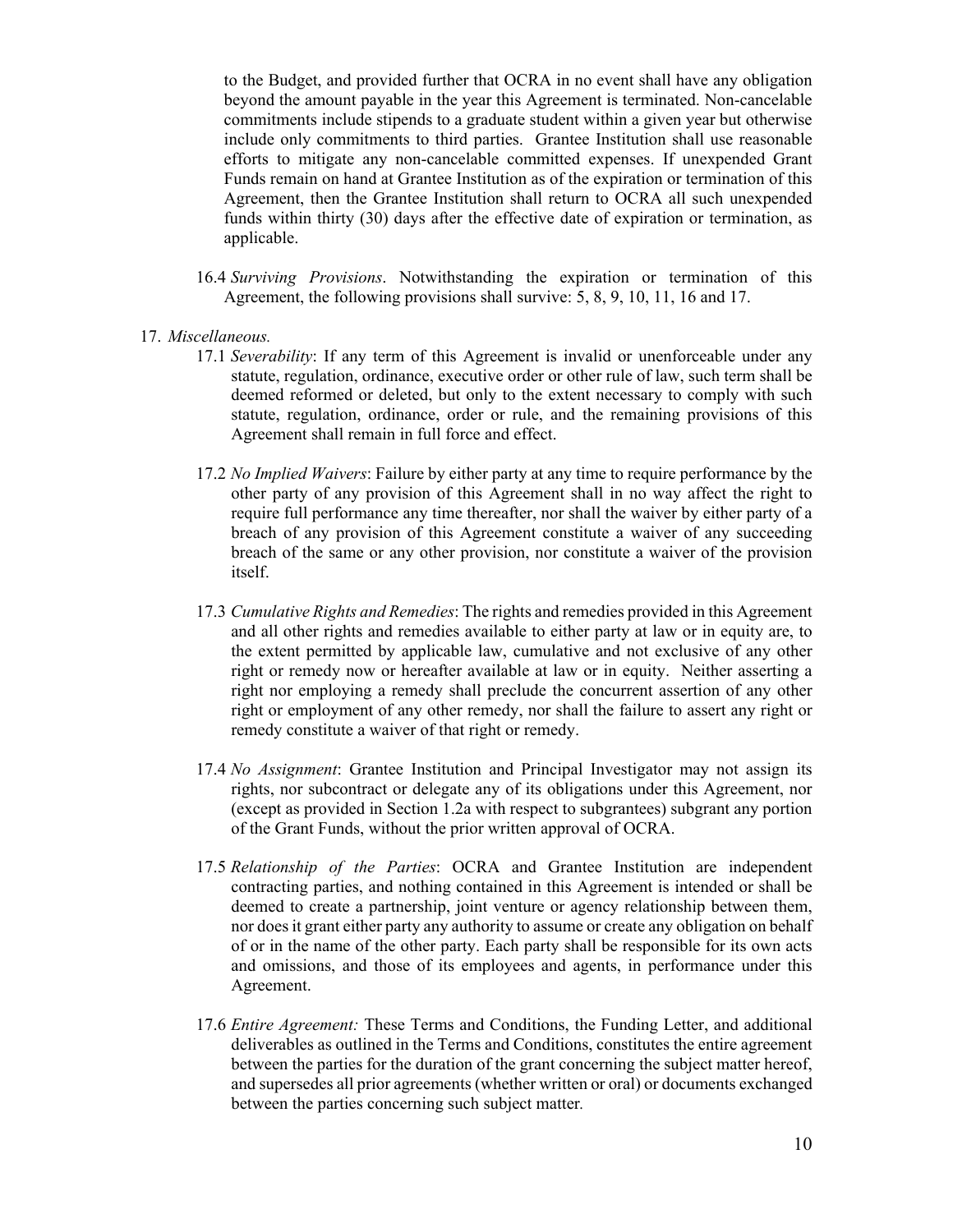to the Budget, and provided further that OCRA in no event shall have any obligation beyond the amount payable in the year this Agreement is terminated. Non-cancelable commitments include stipends to a graduate student within a given year but otherwise include only commitments to third parties. Grantee Institution shall use reasonable efforts to mitigate any non-cancelable committed expenses. If unexpended Grant Funds remain on hand at Grantee Institution as of the expiration or termination of this Agreement, then the Grantee Institution shall return to OCRA all such unexpended funds within thirty (30) days after the effective date of expiration or termination, as applicable.

- 16.4 *Surviving Provisions*. Notwithstanding the expiration or termination of this Agreement, the following provisions shall survive: 5, 8, 9, 10, 11, 16 and 17.
- 17. *Miscellaneous.*
	- 17.1 *Severability*: If any term of this Agreement is invalid or unenforceable under any statute, regulation, ordinance, executive order or other rule of law, such term shall be deemed reformed or deleted, but only to the extent necessary to comply with such statute, regulation, ordinance, order or rule, and the remaining provisions of this Agreement shall remain in full force and effect.
	- 17.2 *No Implied Waivers*: Failure by either party at any time to require performance by the other party of any provision of this Agreement shall in no way affect the right to require full performance any time thereafter, nor shall the waiver by either party of a breach of any provision of this Agreement constitute a waiver of any succeeding breach of the same or any other provision, nor constitute a waiver of the provision itself.
	- 17.3 *Cumulative Rights and Remedies*: The rights and remedies provided in this Agreement and all other rights and remedies available to either party at law or in equity are, to the extent permitted by applicable law, cumulative and not exclusive of any other right or remedy now or hereafter available at law or in equity. Neither asserting a right nor employing a remedy shall preclude the concurrent assertion of any other right or employment of any other remedy, nor shall the failure to assert any right or remedy constitute a waiver of that right or remedy.
	- 17.4 *No Assignment*: Grantee Institution and Principal Investigator may not assign its rights, nor subcontract or delegate any of its obligations under this Agreement, nor (except as provided in Section 1.2a with respect to subgrantees) subgrant any portion of the Grant Funds, without the prior written approval of OCRA.
	- 17.5 *Relationship of the Parties*: OCRA and Grantee Institution are independent contracting parties, and nothing contained in this Agreement is intended or shall be deemed to create a partnership, joint venture or agency relationship between them, nor does it grant either party any authority to assume or create any obligation on behalf of or in the name of the other party. Each party shall be responsible for its own acts and omissions, and those of its employees and agents, in performance under this Agreement.
	- 17.6 *Entire Agreement:* These Terms and Conditions, the Funding Letter, and additional deliverables as outlined in the Terms and Conditions, constitutes the entire agreement between the parties for the duration of the grant concerning the subject matter hereof, and supersedes all prior agreements (whether written or oral) or documents exchanged between the parties concerning such subject matter*.*